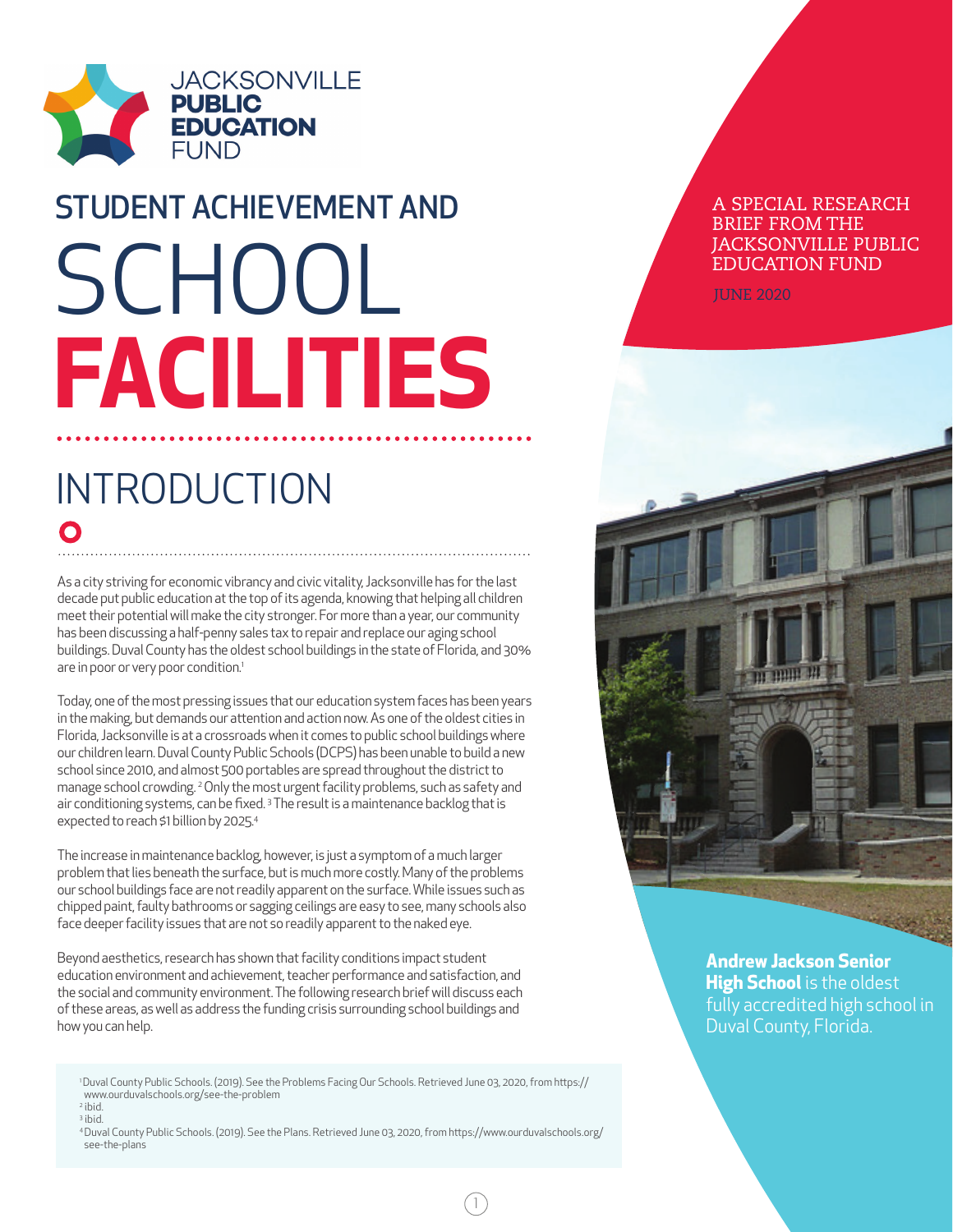

# SCHOOL **FACILITIES** STUDENT ACHIEVEMENT AND

## INTRODUCTION O

As a city striving for economic vibrancy and civic vitality, Jacksonville has for the last decade put public education at the top of its agenda, knowing that helping all children meet their potential will make the city stronger. For more than a year, our community has been discussing a half-penny sales tax to repair and replace our aging school buildings. Duval County has the oldest school buildings in the state of Florida, and 30% are in poor or very poor condition.<sup>1</sup>

Today, one of the most pressing issues that our education system faces has been years in the making, but demands our attention and action now. As one of the oldest cities in Florida, Jacksonville is at a crossroads when it comes to public school buildings where our children learn. Duval County Public Schools (DCPS) has been unable to build a new school since 2010, and almost 500 portables are spread throughout the district to manage school crowding. 2 Only the most urgent facility problems, such as safety and air conditioning systems, can be fixed.<sup>3</sup> The result is a maintenance backlog that is expected to reach \$1 billion by 2025.4

The increase in maintenance backlog, however, is just a symptom of a much larger problem that lies beneath the surface, but is much more costly. Many of the problems our school buildings face are not readily apparent on the surface. While issues such as chipped paint, faulty bathrooms or sagging ceilings are easy to see, many schools also face deeper facility issues that are not so readily apparent to the naked eye.

Beyond aesthetics, research has shown that facility conditions impact student education environment and achievement, teacher performance and satisfaction, and the social and community environment. The following research brief will discuss each of these areas, as well as address the funding crisis surrounding school buildings and how you can help.

1 Duval County Public Schools. (2019). See the Problems Facing Our Schools. Retrieved June 03, 2020, from https:// www.ourduvalschools.org/see-the-problem 2 ibid.

3 ibid.

4 Duval County Public Schools. (2019). See the Plans. Retrieved June 03, 2020, from https://www.ourduvalschools.org/ see-the-plans

1

#### A SPECIAL RESEARCH BRIEF FROM THE JACKSONVILLE PUBLIC EDUCATION FUND

JUNE 2020



**Andrew Jackson Senior High School** is the oldest fully accredited high school in Duval County, Florida.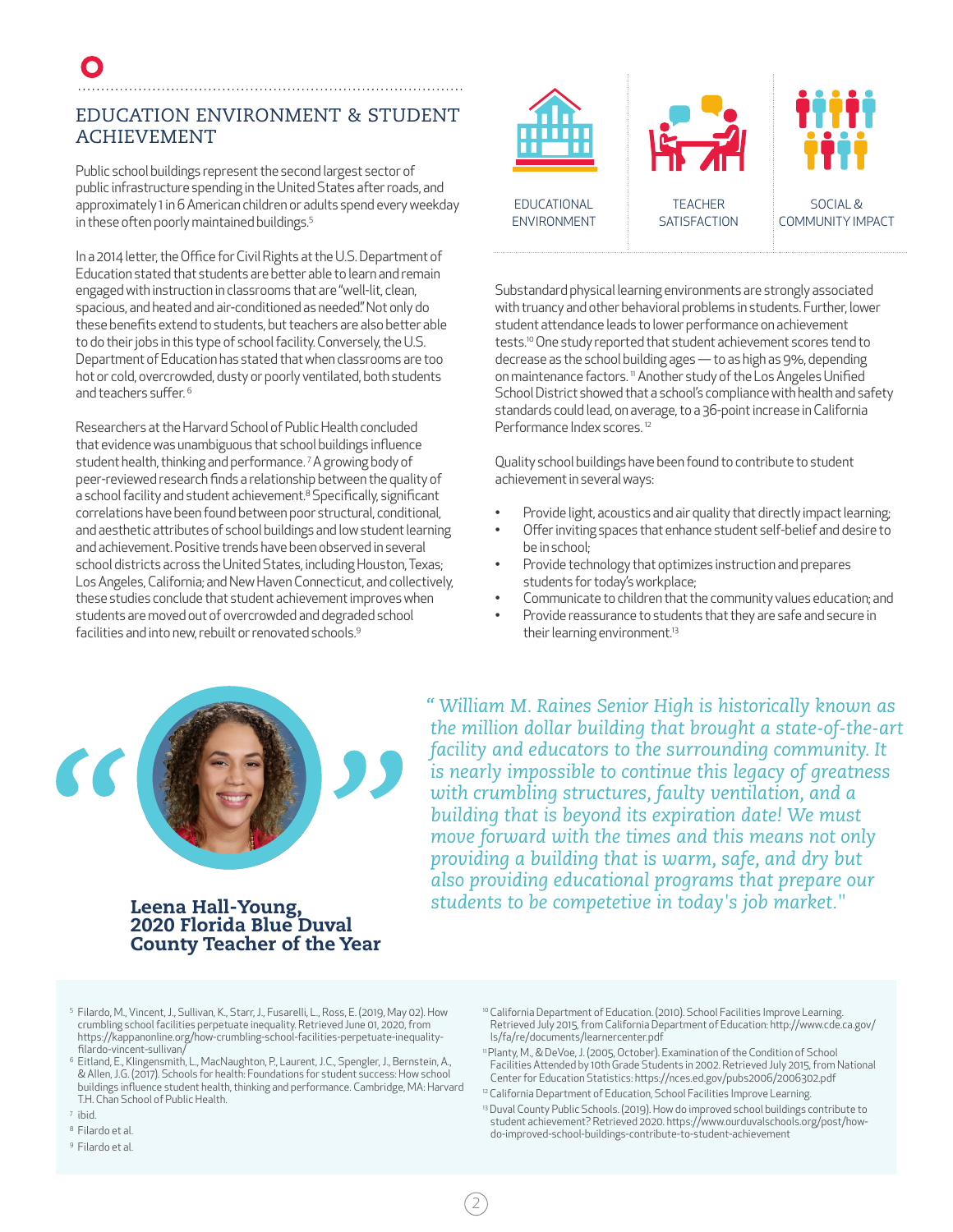#### EDUCATION ENVIRONMENT & STUDENT ACHIEVEMENT

Public school buildings represent the second largest sector of public infrastructure spending in the United States after roads, and approximately 1 in 6 American children or adults spend every weekday in these often poorly maintained buildings.<sup>5</sup>

In a 2014 letter, the Office for Civil Rights at the U.S. Department of Education stated that students are better able to learn and remain engaged with instruction in classrooms that are "well-lit, clean, spacious, and heated and air-conditioned as needed." Not only do these benefits extend to students, but teachers are also better able to do their jobs in this type of school facility. Conversely, the U.S. Department of Education has stated that when classrooms are too hot or cold, overcrowded, dusty or poorly ventilated, both students and teachers suffer. 6

Researchers at the Harvard School of Public Health concluded that evidence was unambiguous that school buildings influence student health, thinking and performance. 7 A growing body of peer-reviewed research finds a relationship between the quality of a school facility and student achievement.<sup>8</sup> Specifically, significant correlations have been found between poor structural, conditional, and aesthetic attributes of school buildings and low student learning and achievement. Positive trends have been observed in several school districts across the United States, including Houston, Texas; Los Angeles, California; and New Haven Connecticut, and collectively, these studies conclude that student achievement improves when students are moved out of overcrowded and degraded school facilities and into new, rebuilt or renovated schools.9



Substandard physical learning environments are strongly associated with truancy and other behavioral problems in students. Further, lower student attendance leads to lower performance on achievement tests.10 One study reported that student achievement scores tend to decrease as the school building ages — to as high as 9%, depending on maintenance factors.<sup>11</sup> Another study of the Los Angeles Unified School District showed that a school's compliance with health and safety standards could lead, on average, to a 36-point increase in California Performance Index scores.<sup>12</sup>

Quality school buildings have been found to contribute to student achievement in several ways:

- Provide light, acoustics and air quality that directly impact learning;
- Offer inviting spaces that enhance student self-belief and desire to be in school;
- Provide technology that optimizes instruction and prepares students for today's workplace;
- Communicate to children that the community values education; and
- Provide reassurance to students that they are safe and secure in their learning environment.<sup>13</sup>



*" William M. Raines Senior High is historically known as the million dollar building that brought a state-of-the-art facility and educators to the surrounding community. It is nearly impossible to continue this legacy of greatness with crumbling structures, faulty ventilation, and a building that is beyond its expiration date! We must move forward with the times and this means not only providing a building that is warm, safe, and dry but also providing educational programs that prepare our*  Leena Hall-Young, *students to be competetive in today's job market."*

### 2020 Florida Blue Duval County Teacher of the Year

<sup>5</sup> Filardo, M., Vincent, J., Sullivan, K., Starr, J., Fusarelli, L., Ross, E. (2019, May 02). How crumbling school facilities perpetuate inequality. Retrieved June 01, 2020, from https://kappanonline.org/how-crumbling-school-facilities-perpetuate-inequalityfilardo-vincent-sullivan/

<sup>6</sup> Eitland, E., Klingensmith, L., MacNaughton, P., Laurent, J.C., Spengler, J., Bernstein, A., & Allen, J.G. (2017). Schools for health: Foundations for student success: How school buildings influence student health, thinking and performance. Cambridge, MA: Harvard T.H. Chan School of Public Health.

- <sup>7</sup> ibid.
- <sup>8</sup> Filardo et al.
- <sup>9</sup> Filardo et al.
- <sup>10</sup> California Department of Education. (2010). School Facilities Improve Learning. Retrieved July 2015, from California Department of Education: http://www.cde.ca.gov/ ls/fa/re/documents/learnercenter.pdf
- <sup>11</sup> Planty, M., & DeVoe, J. (2005, October). Examination of the Condition of School Facilities Attended by 10th Grade Students in 2002. Retrieved July 2015, from National Center for Education Statistics: https://nces.ed.gov/pubs2006/2006302.pdf
- <sup>12</sup> California Department of Education, School Facilities Improve Learning.

2

<sup>13</sup> Duval County Public Schools. (2019). How do improved school buildings contribute to student achievement? Retrieved 2020. https://www.ourduvalschools.org/post/howdo-improved-school-buildings-contribute-to-student-achievement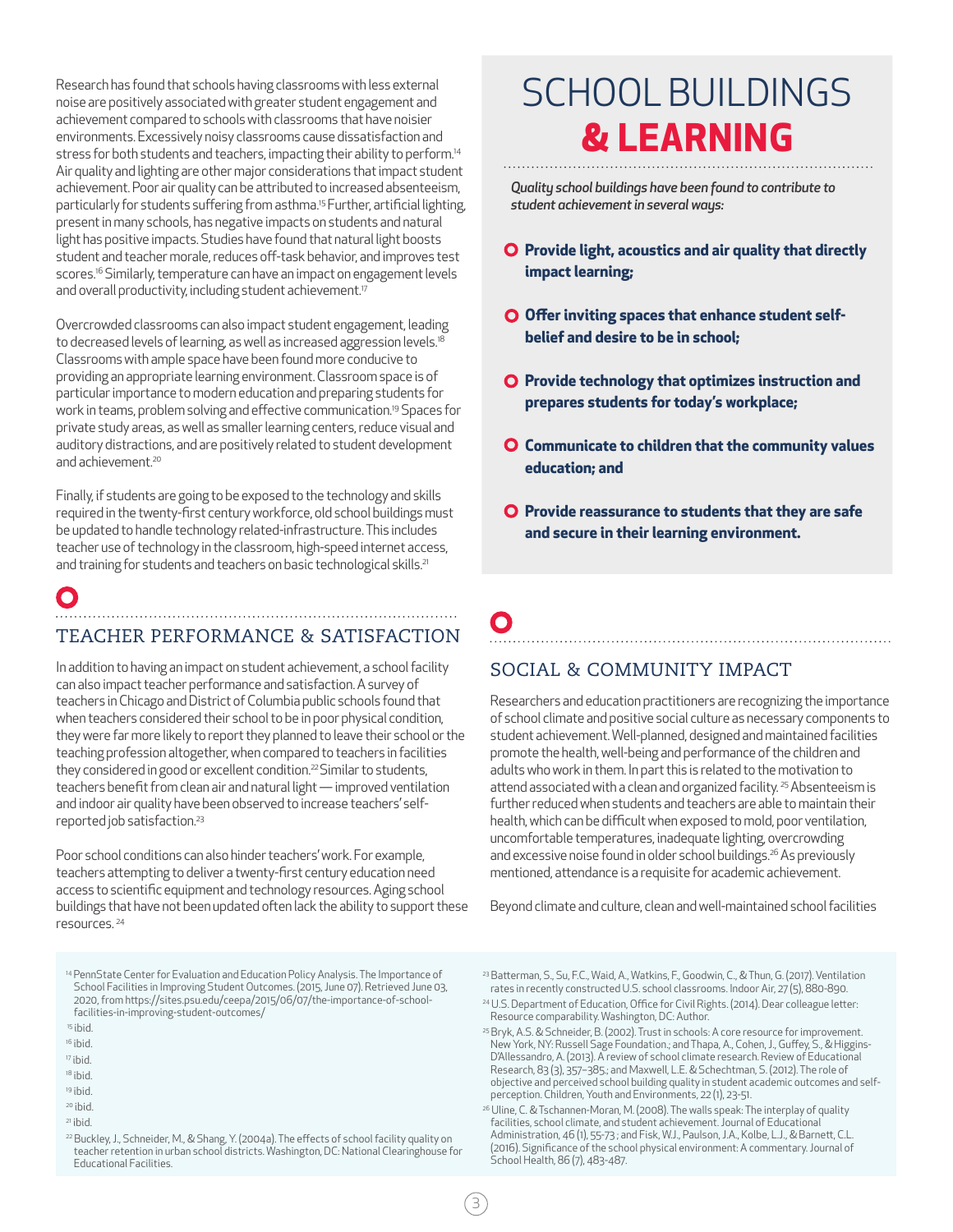Research has found that schools having classrooms with less external noise are positively associated with greater student engagement and achievement compared to schools with classrooms that have noisier environments. Excessively noisy classrooms cause dissatisfaction and stress for both students and teachers, impacting their ability to perform.<sup>14</sup> Air quality and lighting are other major considerations that impact student achievement. Poor air quality can be attributed to increased absenteeism, particularly for students suffering from asthma.<sup>15</sup> Further, artificial lighting, present in many schools, has negative impacts on students and natural light has positive impacts. Studies have found that natural light boosts student and teacher morale, reduces off-task behavior, and improves test scores.<sup>16</sup> Similarly, temperature can have an impact on engagement levels and overall productivity, including student achievement.<sup>17</sup>

Overcrowded classrooms can also impact student engagement, leading to decreased levels of learning, as well as increased aggression levels.<sup>18</sup> Classrooms with ample space have been found more conducive to providing an appropriate learning environment. Classroom space is of particular importance to modern education and preparing students for work in teams, problem solving and effective communication.19 Spaces for private study areas, as well as smaller learning centers, reduce visual and auditory distractions, and are positively related to student development and achievement.<sup>20</sup>

Finally, if students are going to be exposed to the technology and skills required in the twenty-first century workforce, old school buildings must be updated to handle technology related-infrastructure. This includes teacher use of technology in the classroom, high-speed internet access, and training for students and teachers on basic technological skills.<sup>21</sup>

### C TEACHER PERFORMANCE & SATISFACTION

In addition to having an impact on student achievement, a school facility can also impact teacher performance and satisfaction. A survey of teachers in Chicago and District of Columbia public schools found that when teachers considered their school to be in poor physical condition, they were far more likely to report they planned to leave their school or the teaching profession altogether, when compared to teachers in facilities they considered in good or excellent condition.<sup>22</sup> Similar to students, teachers benefit from clean air and natural light — improved ventilation and indoor air quality have been observed to increase teachers' selfreported job satisfaction.23

Poor school conditions can also hinder teachers' work. For example, teachers attempting to deliver a twenty-first century education need access to scientific equipment and technology resources. Aging school buildings that have not been updated often lack the ability to support these resources. 24

14 PennState Center for Evaluation and Education Policy Analysis. The Importance of School Facilities in Improving Student Outcomes. (2015, June 07). Retrieved June 03, 2020, from https://sites.psu.edu/ceepa/2015/06/07/the-importance-of-schoolfacilities-in-improving-student-outcomes/

16 ibid.

- 18 ibid.
- 19 ibid.
- 20 ibid.
- 21 ibid.
- <sup>22</sup> Buckley, J., Schneider, M., & Shang, Y. (2004a). The effects of school facility quality on teacher retention in urban school districts. Washington, DC: National Clearinghouse for Educational Facilities.

# SCHOOL BUILDINGS **& LEARNING**

*Quality school buildings have been found to contribute to student achievement in several ways:*

- **Provide light, acoustics and air quality that directly impact learning;**
- **O** Offer inviting spaces that enhance student self**belief and desire to be in school;**
- **Q** Provide technology that optimizes instruction and **prepares students for today's workplace;**
- **Communicate to children that the community values education; and**
- **Provide reassurance to students that they are safe and secure in their learning environment.**

# SOCIAL & COMMUNITY IMPACT

Researchers and education practitioners are recognizing the importance of school climate and positive social culture as necessary components to student achievement. Well-planned, designed and maintained facilities promote the health, well-being and performance of the children and adults who work in them. In part this is related to the motivation to attend associated with a clean and organized facility.<sup>25</sup> Absenteeism is further reduced when students and teachers are able to maintain their health, which can be difficult when exposed to mold, poor ventilation, uncomfortable temperatures, inadequate lighting, overcrowding and excessive noise found in older school buildings.<sup>26</sup> As previously mentioned, attendance is a requisite for academic achievement.

Beyond climate and culture, clean and well-maintained school facilities

<sup>23</sup> Batterman, S., Su, F.C., Waid, A., Watkins, F., Goodwin, C., & Thun, G. (2017). Ventilation rates in recently constructed U.S. school classrooms. Indoor Air, 27 (5), 880-890.

<sup>24</sup> U.S. Department of Education, Office for Civil Rights. (2014). Dear colleague letter: Resource comparability. Washington, DC: Author.

 <sup>15</sup> ibid.

<sup>17</sup> ibid.

<sup>25</sup> Bryk, A.S. & Schneider, B. (2002). Trust in schools: A core resource for improvement. New York, NY: Russell Sage Foundation.; and Thapa, A., Cohen, J., Guffey, S., & Higgins-D'Allessandro, A. (2013). A review of school climate research. Review of Educational Research, 83 (3), 357–385.; and Maxwell, L.E. & Schechtman, S. (2012). The role of objective and perceived school building quality in student academic outcomes and selfperception. Children, Youth and Environments, 22 (1), 23-51.

<sup>&</sup>lt;sup>26</sup> Uline, C. & Tschannen-Moran, M. (2008). The walls speak: The interplay of quality facilities, school climate, and student achievement. Journal of Educational Administration, 46 (1), 55-73 ; and Fisk, W.J., Paulson, J.A., Kolbe, L.J., & Barnett, C.L. (2016). Significance of the school physical environment: A commentary. Journal of School Health, 86 (7), 483-487.